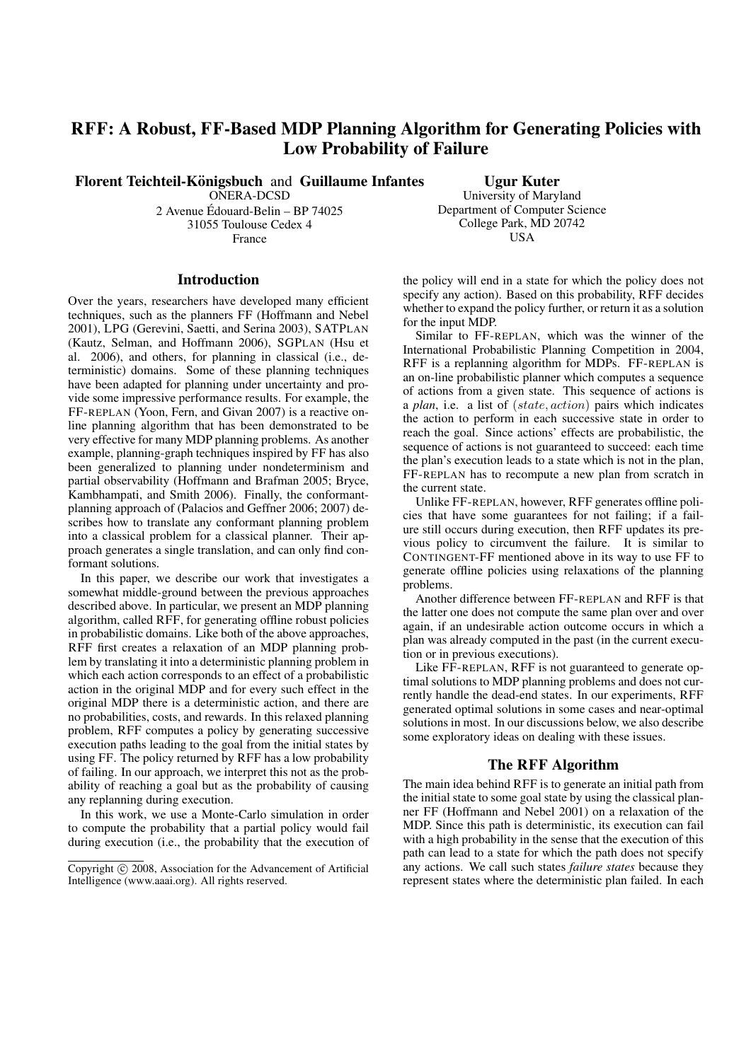# RFF: A Robust, FF-Based MDP Planning Algorithm for Generating Policies with Low Probability of Failure

Florent Teichteil-Königsbuch and Guillaume Infantes

ONERA-DCSD

2 Avenue Edouard-Belin – BP 74025 ´ 31055 Toulouse Cedex 4 France

Introduction

Over the years, researchers have developed many efficient techniques, such as the planners FF (Hoffmann and Nebel 2001), LPG (Gerevini, Saetti, and Serina 2003), SATPLAN (Kautz, Selman, and Hoffmann 2006), SGPLAN (Hsu et al. 2006), and others, for planning in classical (i.e., deterministic) domains. Some of these planning techniques have been adapted for planning under uncertainty and provide some impressive performance results. For example, the FF-REPLAN (Yoon, Fern, and Givan 2007) is a reactive online planning algorithm that has been demonstrated to be very effective for many MDP planning problems. As another example, planning-graph techniques inspired by FF has also been generalized to planning under nondeterminism and partial observability (Hoffmann and Brafman 2005; Bryce, Kambhampati, and Smith 2006). Finally, the conformantplanning approach of (Palacios and Geffner 2006; 2007) describes how to translate any conformant planning problem into a classical problem for a classical planner. Their approach generates a single translation, and can only find conformant solutions.

In this paper, we describe our work that investigates a somewhat middle-ground between the previous approaches described above. In particular, we present an MDP planning algorithm, called RFF, for generating offline robust policies in probabilistic domains. Like both of the above approaches, RFF first creates a relaxation of an MDP planning problem by translating it into a deterministic planning problem in which each action corresponds to an effect of a probabilistic action in the original MDP and for every such effect in the original MDP there is a deterministic action, and there are no probabilities, costs, and rewards. In this relaxed planning problem, RFF computes a policy by generating successive execution paths leading to the goal from the initial states by using FF. The policy returned by RFF has a low probability of failing. In our approach, we interpret this not as the probability of reaching a goal but as the probability of causing any replanning during execution.

In this work, we use a Monte-Carlo simulation in order to compute the probability that a partial policy would fail during execution (i.e., the probability that the execution of

Ugur Kuter University of Maryland Department of Computer Science College Park, MD 20742 **IISA** 

the policy will end in a state for which the policy does not specify any action). Based on this probability, RFF decides whether to expand the policy further, or return it as a solution for the input MDP.

Similar to FF-REPLAN, which was the winner of the International Probabilistic Planning Competition in 2004, RFF is a replanning algorithm for MDPs. FF-REPLAN is an on-line probabilistic planner which computes a sequence of actions from a given state. This sequence of actions is a *plan*, i.e. a list of (state, action) pairs which indicates the action to perform in each successive state in order to reach the goal. Since actions' effects are probabilistic, the sequence of actions is not guaranteed to succeed: each time the plan's execution leads to a state which is not in the plan, FF-REPLAN has to recompute a new plan from scratch in the current state.

Unlike FF-REPLAN, however, RFF generates offline policies that have some guarantees for not failing; if a failure still occurs during execution, then RFF updates its previous policy to circumvent the failure. It is similar to CONTINGENT-FF mentioned above in its way to use FF to generate offline policies using relaxations of the planning problems.

Another difference between FF-REPLAN and RFF is that the latter one does not compute the same plan over and over again, if an undesirable action outcome occurs in which a plan was already computed in the past (in the current execution or in previous executions).

Like FF-REPLAN, RFF is not guaranteed to generate optimal solutions to MDP planning problems and does not currently handle the dead-end states. In our experiments, RFF generated optimal solutions in some cases and near-optimal solutions in most. In our discussions below, we also describe some exploratory ideas on dealing with these issues.

#### The RFF Algorithm

The main idea behind RFF is to generate an initial path from the initial state to some goal state by using the classical planner FF (Hoffmann and Nebel 2001) on a relaxation of the MDP. Since this path is deterministic, its execution can fail with a high probability in the sense that the execution of this path can lead to a state for which the path does not specify any actions. We call such states *failure states* because they represent states where the deterministic plan failed. In each

Copyright © 2008, Association for the Advancement of Artificial Intelligence (www.aaai.org). All rights reserved.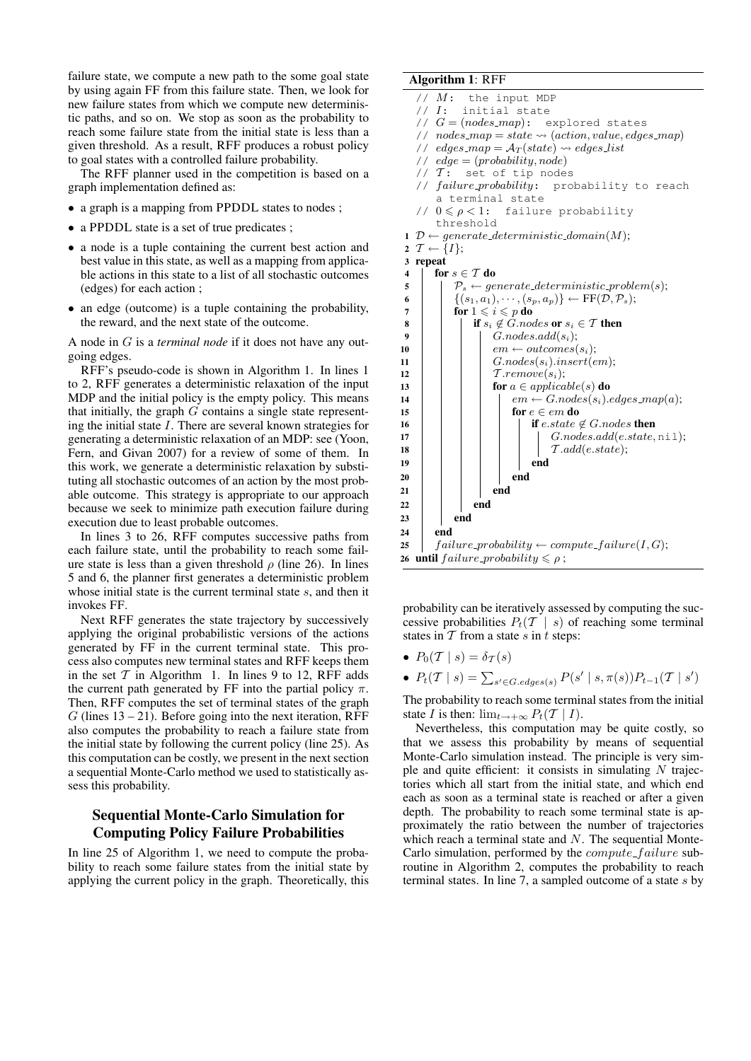failure state, we compute a new path to the some goal state by using again FF from this failure state. Then, we look for new failure states from which we compute new deterministic paths, and so on. We stop as soon as the probability to reach some failure state from the initial state is less than a given threshold. As a result, RFF produces a robust policy to goal states with a controlled failure probability.

The RFF planner used in the competition is based on a graph implementation defined as:

- a graph is a mapping from PPDDL states to nodes;
- a PPDDL state is a set of true predicates;
- a node is a tuple containing the current best action and best value in this state, as well as a mapping from applicable actions in this state to a list of all stochastic outcomes (edges) for each action ;
- an edge (outcome) is a tuple containing the probability, the reward, and the next state of the outcome.

A node in G is a *terminal node* if it does not have any outgoing edges.

RFF's pseudo-code is shown in Algorithm 1. In lines 1 to 2, RFF generates a deterministic relaxation of the input MDP and the initial policy is the empty policy. This means that initially, the graph  $G$  contains a single state representing the initial state I. There are several known strategies for generating a deterministic relaxation of an MDP: see (Yoon, Fern, and Givan 2007) for a review of some of them. In this work, we generate a deterministic relaxation by substituting all stochastic outcomes of an action by the most probable outcome. This strategy is appropriate to our approach because we seek to minimize path execution failure during execution due to least probable outcomes.

In lines 3 to 26, RFF computes successive paths from each failure state, until the probability to reach some failure state is less than a given threshold  $\rho$  (line 26). In lines 5 and 6, the planner first generates a deterministic problem whose initial state is the current terminal state s, and then it invokes FF.

Next RFF generates the state trajectory by successively applying the original probabilistic versions of the actions generated by FF in the current terminal state. This process also computes new terminal states and RFF keeps them in the set  $T$  in Algorithm 1. In lines 9 to 12, RFF adds the current path generated by FF into the partial policy  $\pi$ . Then, RFF computes the set of terminal states of the graph  $G$  (lines 13 – 21). Before going into the next iteration, RFF also computes the probability to reach a failure state from the initial state by following the current policy (line 25). As this computation can be costly, we present in the next section a sequential Monte-Carlo method we used to statistically assess this probability.

## Sequential Monte-Carlo Simulation for Computing Policy Failure Probabilities

In line 25 of Algorithm 1, we need to compute the probability to reach some failure states from the initial state by applying the current policy in the graph. Theoretically, this

#### Algorithm 1: RFF

//  $M:$  the input MDP // I: initial state //  $G = (nodes\_map):$  explored states //  $nodes\_map = state \leadsto (action, value, edges\_map)$ // edges\_map =  $A_T(state) \rightsquigarrow edges\_list$ //  $edge = (probability, node)$ //  $T:$  set of tip nodes // failure\_probability: probability to reach a terminal state //  $0 \le \rho < 1$ : failure probability threshold 1 D  $\leftarrow$  generate\_deterministic\_domain(M); 2  $T \leftarrow \{I\};$ 3 repeat 4 for  $s \in \mathcal{T}$  do 5  $\vert \quad \vert \quad \mathcal{P}_s \leftarrow \text{generate\_deterministic\_problem}(s);$ 6  $\left\{\n \begin{array}{c}\n (s_1, a_1), \cdots, (s_p, a_p)\n \end{array}\n \right\}\n \leftarrow \text{FF}(\mathcal{D}, \mathcal{P}_s);$ <br>  $\text{for } 1 \leq i \leq p \text{ do}$ for  $1 \leqslant i \leqslant p$  do 8 | | if  $s_i \notin G$ .nodes or  $s_i \in \mathcal{T}$  then 9  $G.nodes.add(s_i);$ 10  $\vert$   $\vert$   $\vert$   $\vert$   $em \leftarrow outcomes(s_i);$ 11 | |  $G.nodes(s_i).insert(em);$ 12 | | |  $\tau$ .remove $(s_i)$ ; 13 **for**  $a \in applicable(s)$  do 14  $\vert$   $\vert$   $\vert$   $\vert$   $\vert$   $em \leftarrow G.nodes(s_i).edges\_map(a);$ 15  $\vert \vert \vert \vert$  for  $e \in em$  do 16 if e.state  $\notin G$ .nodes then  $17$  | | | | | *G.nodes.add(e.state, nil)*; 18 T .add(e.state); 19 | | | | | | end  $20$  | | | | end 21 **end**  $22$  end  $23$  end  $24$  end 25  $\int$  failure\_probability  $\leftarrow compute\_failure(I, G);$ 26 until failure\_probability  $\leq \rho$ ;

probability can be iteratively assessed by computing the successive probabilities  $P_t(T | s)$  of reaching some terminal states in  $\overline{T}$  from a state s in t steps:

- $P_0(T \mid s) = \delta_{\mathcal{T}}(s)$
- $P_t(\mathcal{T} \mid s) = \sum_{s' \in G.\text{edges}(s)} P(s' \mid s, \pi(s)) P_{t-1}(\mathcal{T} \mid s')$

The probability to reach some terminal states from the initial state I is then:  $\lim_{t\to+\infty} P_t(T \mid I)$ .

Nevertheless, this computation may be quite costly, so that we assess this probability by means of sequential Monte-Carlo simulation instead. The principle is very simple and quite efficient: it consists in simulating  $N$  trajectories which all start from the initial state, and which end each as soon as a terminal state is reached or after a given depth. The probability to reach some terminal state is approximately the ratio between the number of trajectories which reach a terminal state and  $N$ . The sequential Monte-Carlo simulation, performed by the  $compute\_failure$  subroutine in Algorithm 2, computes the probability to reach terminal states. In line 7, a sampled outcome of a state s by